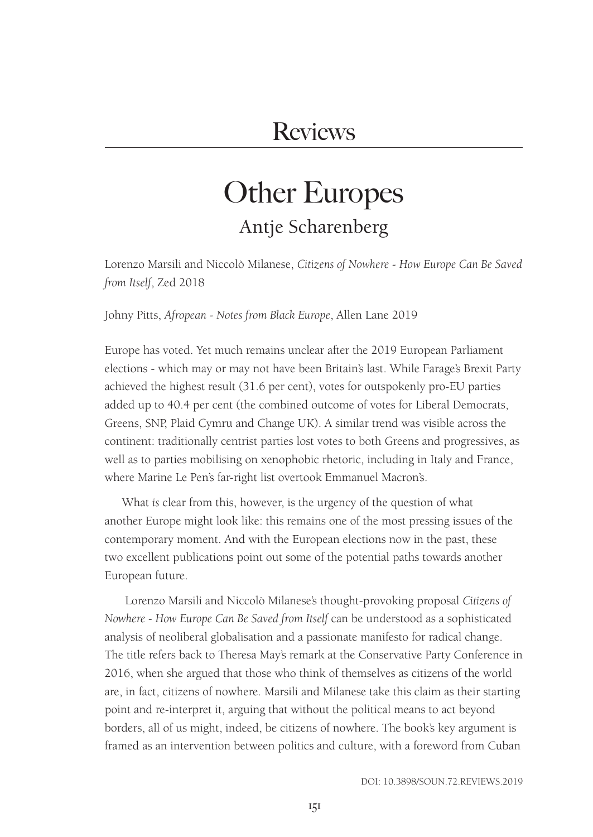# Other Europes Antje Scharenberg

Lorenzo Marsili and Niccolò Milanese, *Citizens of Nowhere - How Europe Can Be Saved from Itself*, Zed 2018

Johny Pitts, *Afropean - Notes from Black Europe*, Allen Lane 2019

Europe has voted. Yet much remains unclear after the 2019 European Parliament elections - which may or may not have been Britain's last. While Farage's Brexit Party achieved the highest result (31.6 per cent), votes for outspokenly pro-EU parties added up to 40.4 per cent (the combined outcome of votes for Liberal Democrats, Greens, SNP, Plaid Cymru and Change UK). A similar trend was visible across the continent: traditionally centrist parties lost votes to both Greens and progressives, as well as to parties mobilising on xenophobic rhetoric, including in Italy and France, where Marine Le Pen's far-right list overtook Emmanuel Macron's.

What *is* clear from this, however, is the urgency of the question of what another Europe might look like: this remains one of the most pressing issues of the contemporary moment. And with the European elections now in the past, these two excellent publications point out some of the potential paths towards another European future.

 Lorenzo Marsili and Niccolò Milanese's thought-provoking proposal *Citizens of Nowhere - How Europe Can Be Saved from Itself* can be understood as a sophisticated analysis of neoliberal globalisation and a passionate manifesto for radical change. The title refers back to Theresa May's remark at the Conservative Party Conference in 2016, when she argued that those who think of themselves as citizens of the world are, in fact, citizens of nowhere. Marsili and Milanese take this claim as their starting point and re-interpret it, arguing that without the political means to act beyond borders, all of us might, indeed, be citizens of nowhere. The book's key argument is framed as an intervention between politics and culture, with a foreword from Cuban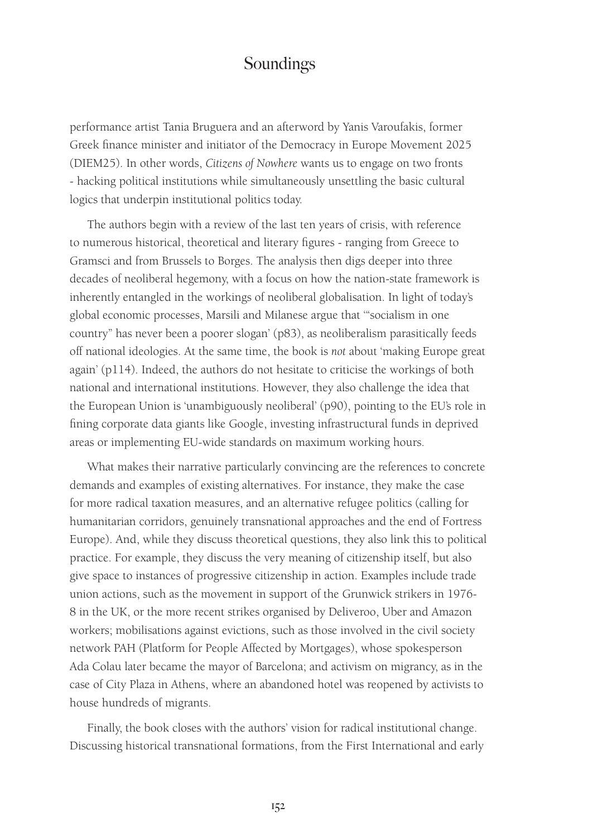performance artist Tania Bruguera and an afterword by Yanis Varoufakis, former Greek finance minister and initiator of the Democracy in Europe Movement 2025 (DIEM25). In other words, *Citizens of Nowhere* wants us to engage on two fronts - hacking political institutions while simultaneously unsettling the basic cultural logics that underpin institutional politics today.

The authors begin with a review of the last ten years of crisis, with reference to numerous historical, theoretical and literary figures - ranging from Greece to Gramsci and from Brussels to Borges. The analysis then digs deeper into three decades of neoliberal hegemony, with a focus on how the nation-state framework is inherently entangled in the workings of neoliberal globalisation. In light of today's global economic processes, Marsili and Milanese argue that '"socialism in one country" has never been a poorer slogan' (p83), as neoliberalism parasitically feeds off national ideologies. At the same time, the book is *not* about 'making Europe great again' (p114). Indeed, the authors do not hesitate to criticise the workings of both national and international institutions. However, they also challenge the idea that the European Union is 'unambiguously neoliberal' (p90), pointing to the EU's role in fining corporate data giants like Google, investing infrastructural funds in deprived areas or implementing EU-wide standards on maximum working hours.

What makes their narrative particularly convincing are the references to concrete demands and examples of existing alternatives. For instance, they make the case for more radical taxation measures, and an alternative refugee politics (calling for humanitarian corridors, genuinely transnational approaches and the end of Fortress Europe). And, while they discuss theoretical questions, they also link this to political practice. For example, they discuss the very meaning of citizenship itself, but also give space to instances of progressive citizenship in action. Examples include trade union actions, such as the movement in support of the Grunwick strikers in 1976- 8 in the UK, or the more recent strikes organised by Deliveroo, Uber and Amazon workers; mobilisations against evictions, such as those involved in the civil society network PAH (Platform for People Affected by Mortgages), whose spokesperson Ada Colau later became the mayor of Barcelona; and activism on migrancy, as in the case of City Plaza in Athens, where an abandoned hotel was reopened by activists to house hundreds of migrants.

Finally, the book closes with the authors' vision for radical institutional change. Discussing historical transnational formations, from the First International and early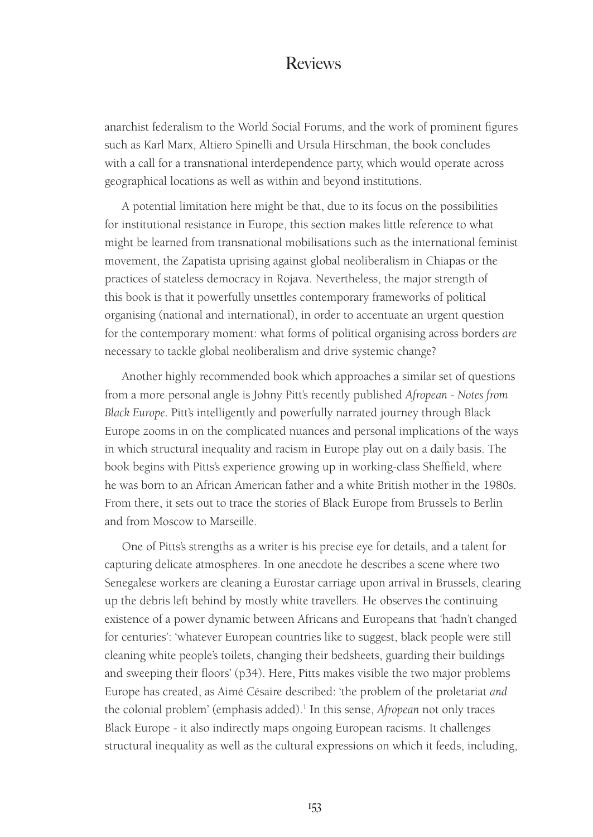anarchist federalism to the World Social Forums, and the work of prominent figures such as Karl Marx, Altiero Spinelli and Ursula Hirschman, the book concludes with a call for a transnational interdependence party, which would operate across geographical locations as well as within and beyond institutions.

A potential limitation here might be that, due to its focus on the possibilities for institutional resistance in Europe, this section makes little reference to what might be learned from transnational mobilisations such as the international feminist movement, the Zapatista uprising against global neoliberalism in Chiapas or the practices of stateless democracy in Rojava. Nevertheless, the major strength of this book is that it powerfully unsettles contemporary frameworks of political organising (national and international), in order to accentuate an urgent question for the contemporary moment: what forms of political organising across borders *are*  necessary to tackle global neoliberalism and drive systemic change?

Another highly recommended book which approaches a similar set of questions from a more personal angle is Johny Pitt's recently published *Afropean - Notes from Black Europe*. Pitt's intelligently and powerfully narrated journey through Black Europe zooms in on the complicated nuances and personal implications of the ways in which structural inequality and racism in Europe play out on a daily basis. The book begins with Pitts's experience growing up in working-class Sheffield, where he was born to an African American father and a white British mother in the 1980s. From there, it sets out to trace the stories of Black Europe from Brussels to Berlin and from Moscow to Marseille.

One of Pitts's strengths as a writer is his precise eye for details, and a talent for capturing delicate atmospheres. In one anecdote he describes a scene where two Senegalese workers are cleaning a Eurostar carriage upon arrival in Brussels, clearing up the debris left behind by mostly white travellers. He observes the continuing existence of a power dynamic between Africans and Europeans that 'hadn't changed for centuries': 'whatever European countries like to suggest, black people were still cleaning white people's toilets, changing their bedsheets, guarding their buildings and sweeping their floors' (p34). Here, Pitts makes visible the two major problems Europe has created, as Aimé Césaire described: 'the problem of the proletariat *and* the colonial problem' (emphasis added).<sup>1</sup> In this sense, *Afropean* not only traces Black Europe - it also indirectly maps ongoing European racisms. It challenges structural inequality as well as the cultural expressions on which it feeds, including,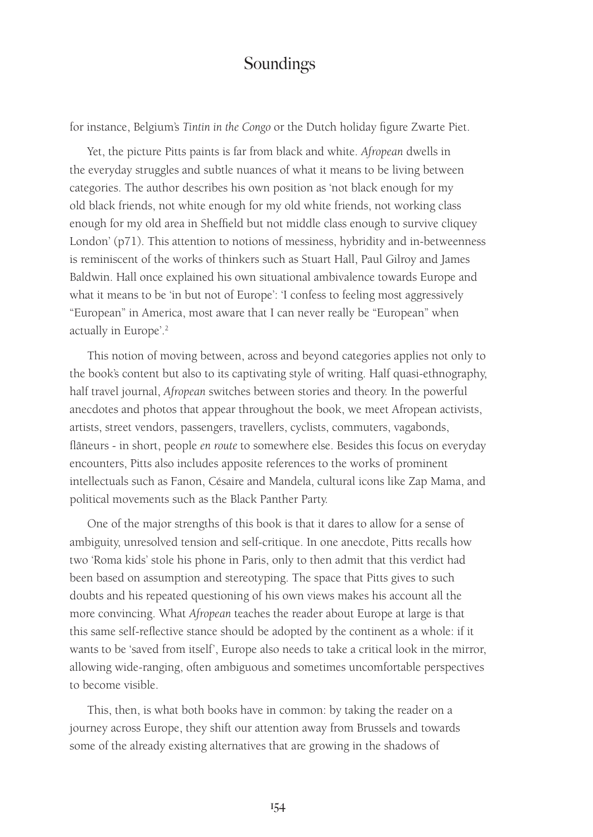for instance, Belgium's *Tintin in the Congo* or the Dutch holiday figure Zwarte Piet.

Yet, the picture Pitts paints is far from black and white. *Afropean* dwells in the everyday struggles and subtle nuances of what it means to be living between categories. The author describes his own position as 'not black enough for my old black friends, not white enough for my old white friends, not working class enough for my old area in Sheffield but not middle class enough to survive cliquey London' (p71). This attention to notions of messiness, hybridity and in-betweenness is reminiscent of the works of thinkers such as Stuart Hall, Paul Gilroy and James Baldwin. Hall once explained his own situational ambivalence towards Europe and what it means to be 'in but not of Europe': 'I confess to feeling most aggressively "European" in America, most aware that I can never really be "European" when actually in Europe'.2

This notion of moving between, across and beyond categories applies not only to the book's content but also to its captivating style of writing. Half quasi-ethnography, half travel journal, *Afropean* switches between stories and theory. In the powerful anecdotes and photos that appear throughout the book, we meet Afropean activists, artists, street vendors, passengers, travellers, cyclists, commuters, vagabonds, flâneurs - in short, people *en route* to somewhere else. Besides this focus on everyday encounters, Pitts also includes apposite references to the works of prominent intellectuals such as Fanon, Césaire and Mandela, cultural icons like Zap Mama, and political movements such as the Black Panther Party.

One of the major strengths of this book is that it dares to allow for a sense of ambiguity, unresolved tension and self-critique. In one anecdote, Pitts recalls how two 'Roma kids' stole his phone in Paris, only to then admit that this verdict had been based on assumption and stereotyping. The space that Pitts gives to such doubts and his repeated questioning of his own views makes his account all the more convincing. What *Afropean* teaches the reader about Europe at large is that this same self-reflective stance should be adopted by the continent as a whole: if it wants to be 'saved from itself', Europe also needs to take a critical look in the mirror, allowing wide-ranging, often ambiguous and sometimes uncomfortable perspectives to become visible.

This, then, is what both books have in common: by taking the reader on a journey across Europe, they shift our attention away from Brussels and towards some of the already existing alternatives that are growing in the shadows of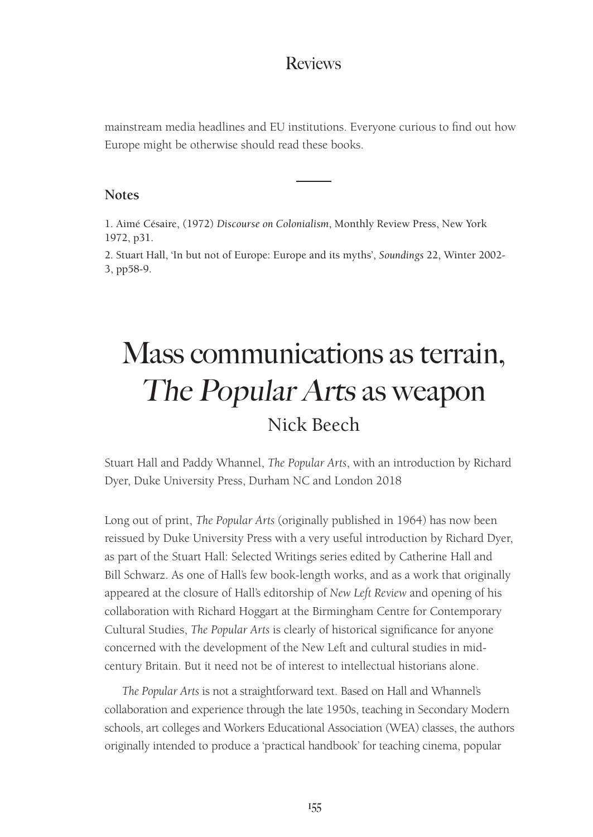mainstream media headlines and EU institutions. Everyone curious to find out how Europe might be otherwise should read these books.

#### **Notes**

1. Aimé Césaire, (1972) *Discourse on Colonialism*, Monthly Review Press, New York 1972, p31.

2. Stuart Hall, 'In but not of Europe: Europe and its myths', *Soundings* 22, Winter 2002- 3, pp58-9.

# Mass communications as terrain, The Popular Arts as weapon Nick Beech

Stuart Hall and Paddy Whannel, *The Popular Arts*, with an introduction by Richard Dyer, Duke University Press, Durham NC and London 2018

Long out of print, *The Popular Arts* (originally published in 1964) has now been reissued by Duke University Press with a very useful introduction by Richard Dyer, as part of the Stuart Hall: Selected Writings series edited by Catherine Hall and Bill Schwarz. As one of Hall's few book-length works, and as a work that originally appeared at the closure of Hall's editorship of *New Left Review* and opening of his collaboration with Richard Hoggart at the Birmingham Centre for Contemporary Cultural Studies, *The Popular Arts* is clearly of historical significance for anyone concerned with the development of the New Left and cultural studies in midcentury Britain. But it need not be of interest to intellectual historians alone.

*The Popular Arts* is not a straightforward text. Based on Hall and Whannel's collaboration and experience through the late 1950s, teaching in Secondary Modern schools, art colleges and Workers Educational Association (WEA) classes, the authors originally intended to produce a 'practical handbook' for teaching cinema, popular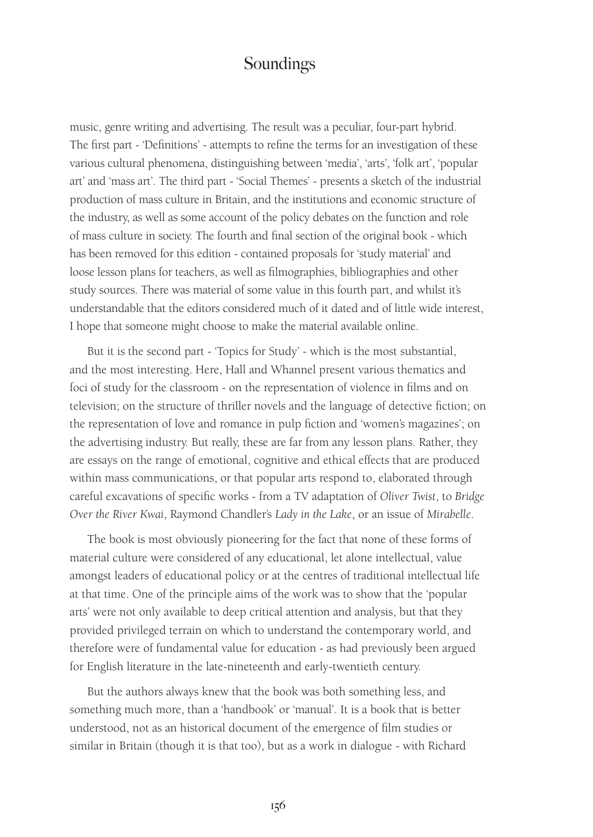music, genre writing and advertising. The result was a peculiar, four-part hybrid. The first part - 'Definitions' - attempts to refine the terms for an investigation of these various cultural phenomena, distinguishing between 'media', 'arts', 'folk art', 'popular art' and 'mass art'. The third part - 'Social Themes' - presents a sketch of the industrial production of mass culture in Britain, and the institutions and economic structure of the industry, as well as some account of the policy debates on the function and role of mass culture in society. The fourth and final section of the original book - which has been removed for this edition - contained proposals for 'study material' and loose lesson plans for teachers, as well as filmographies, bibliographies and other study sources. There was material of some value in this fourth part, and whilst it's understandable that the editors considered much of it dated and of little wide interest, I hope that someone might choose to make the material available online.

But it is the second part - 'Topics for Study' - which is the most substantial, and the most interesting. Here, Hall and Whannel present various thematics and foci of study for the classroom - on the representation of violence in films and on television; on the structure of thriller novels and the language of detective fiction; on the representation of love and romance in pulp fiction and 'women's magazines'; on the advertising industry. But really, these are far from any lesson plans. Rather, they are essays on the range of emotional, cognitive and ethical effects that are produced within mass communications, or that popular arts respond to, elaborated through careful excavations of specific works - from a TV adaptation of *Oliver Twist*, to *Bridge Over the River Kwai*, Raymond Chandler's *Lady in the Lake*, or an issue of *Mirabelle*.

The book is most obviously pioneering for the fact that none of these forms of material culture were considered of any educational, let alone intellectual, value amongst leaders of educational policy or at the centres of traditional intellectual life at that time. One of the principle aims of the work was to show that the 'popular arts' were not only available to deep critical attention and analysis, but that they provided privileged terrain on which to understand the contemporary world, and therefore were of fundamental value for education - as had previously been argued for English literature in the late-nineteenth and early-twentieth century.

But the authors always knew that the book was both something less, and something much more, than a 'handbook' or 'manual'. It is a book that is better understood, not as an historical document of the emergence of film studies or similar in Britain (though it is that too), but as a work in dialogue - with Richard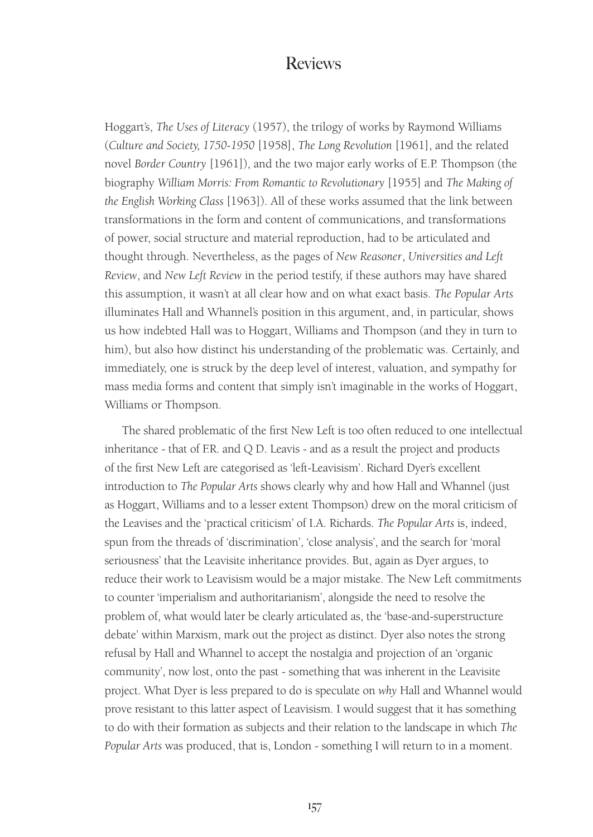Hoggart's, *The Uses of Literacy* (1957), the trilogy of works by Raymond Williams (*Culture and Society, 1750-1950* [1958], *The Long Revolution* [1961], and the related novel *Border Country* [1961]), and the two major early works of E.P. Thompson (the biography *William Morris: From Romantic to Revolutionary* [1955] and *The Making of the English Working Class* [1963]). All of these works assumed that the link between transformations in the form and content of communications, and transformations of power, social structure and material reproduction, had to be articulated and thought through. Nevertheless, as the pages of *New Reasoner*, *Universities and Left Review*, and *New Left Review* in the period testify, if these authors may have shared this assumption, it wasn't at all clear how and on what exact basis. *The Popular Arts* illuminates Hall and Whannel's position in this argument, and, in particular, shows us how indebted Hall was to Hoggart, Williams and Thompson (and they in turn to him), but also how distinct his understanding of the problematic was. Certainly, and immediately, one is struck by the deep level of interest, valuation, and sympathy for mass media forms and content that simply isn't imaginable in the works of Hoggart, Williams or Thompson.

The shared problematic of the first New Left is too often reduced to one intellectual inheritance - that of F.R. and Q D. Leavis - and as a result the project and products of the first New Left are categorised as 'left-Leavisism'. Richard Dyer's excellent introduction to *The Popular Arts* shows clearly why and how Hall and Whannel (just as Hoggart, Williams and to a lesser extent Thompson) drew on the moral criticism of the Leavises and the 'practical criticism' of I.A. Richards. *The Popular Arts* is, indeed, spun from the threads of 'discrimination', 'close analysis', and the search for 'moral seriousness' that the Leavisite inheritance provides. But, again as Dyer argues, to reduce their work to Leavisism would be a major mistake. The New Left commitments to counter 'imperialism and authoritarianism', alongside the need to resolve the problem of, what would later be clearly articulated as, the 'base-and-superstructure debate' within Marxism, mark out the project as distinct. Dyer also notes the strong refusal by Hall and Whannel to accept the nostalgia and projection of an 'organic community', now lost, onto the past - something that was inherent in the Leavisite project. What Dyer is less prepared to do is speculate on *why* Hall and Whannel would prove resistant to this latter aspect of Leavisism. I would suggest that it has something to do with their formation as subjects and their relation to the landscape in which *The Popular Arts* was produced, that is, London - something I will return to in a moment.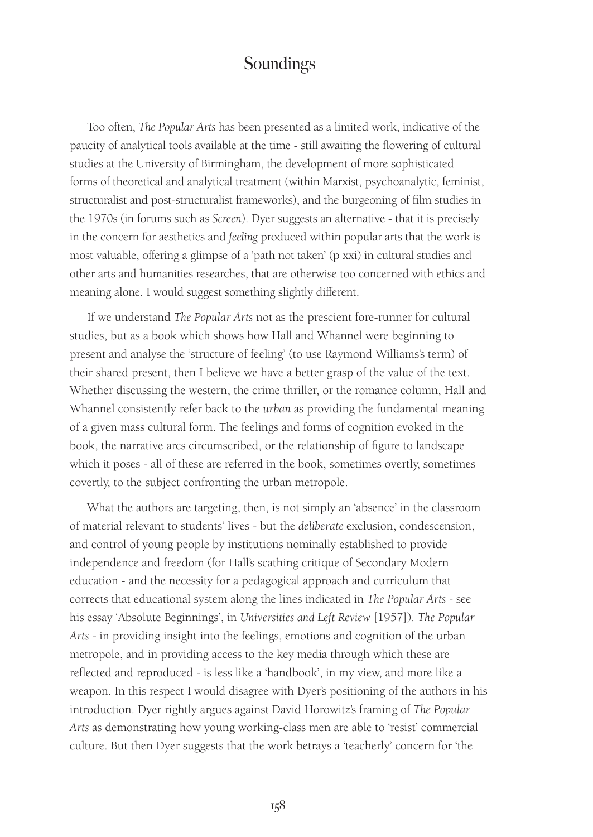Too often, *The Popular Arts* has been presented as a limited work, indicative of the paucity of analytical tools available at the time - still awaiting the flowering of cultural studies at the University of Birmingham, the development of more sophisticated forms of theoretical and analytical treatment (within Marxist, psychoanalytic, feminist, structuralist and post-structuralist frameworks), and the burgeoning of film studies in the 1970s (in forums such as *Screen*). Dyer suggests an alternative - that it is precisely in the concern for aesthetics and *feeling* produced within popular arts that the work is most valuable, offering a glimpse of a 'path not taken' (p xxi) in cultural studies and other arts and humanities researches, that are otherwise too concerned with ethics and meaning alone. I would suggest something slightly different.

If we understand *The Popular Arts* not as the prescient fore-runner for cultural studies, but as a book which shows how Hall and Whannel were beginning to present and analyse the 'structure of feeling' (to use Raymond Williams's term) of their shared present, then I believe we have a better grasp of the value of the text. Whether discussing the western, the crime thriller, or the romance column, Hall and Whannel consistently refer back to the *urban* as providing the fundamental meaning of a given mass cultural form. The feelings and forms of cognition evoked in the book, the narrative arcs circumscribed, or the relationship of figure to landscape which it poses - all of these are referred in the book, sometimes overtly, sometimes covertly, to the subject confronting the urban metropole.

What the authors are targeting, then, is not simply an 'absence' in the classroom of material relevant to students' lives - but the *deliberate* exclusion, condescension, and control of young people by institutions nominally established to provide independence and freedom (for Hall's scathing critique of Secondary Modern education - and the necessity for a pedagogical approach and curriculum that corrects that educational system along the lines indicated in *The Popular Arts -* see his essay 'Absolute Beginnings', in *Universities and Left Review* [1957]). *The Popular Arts* - in providing insight into the feelings, emotions and cognition of the urban metropole, and in providing access to the key media through which these are reflected and reproduced - is less like a 'handbook', in my view, and more like a weapon. In this respect I would disagree with Dyer's positioning of the authors in his introduction. Dyer rightly argues against David Horowitz's framing of *The Popular Arts* as demonstrating how young working-class men are able to 'resist' commercial culture. But then Dyer suggests that the work betrays a 'teacherly' concern for 'the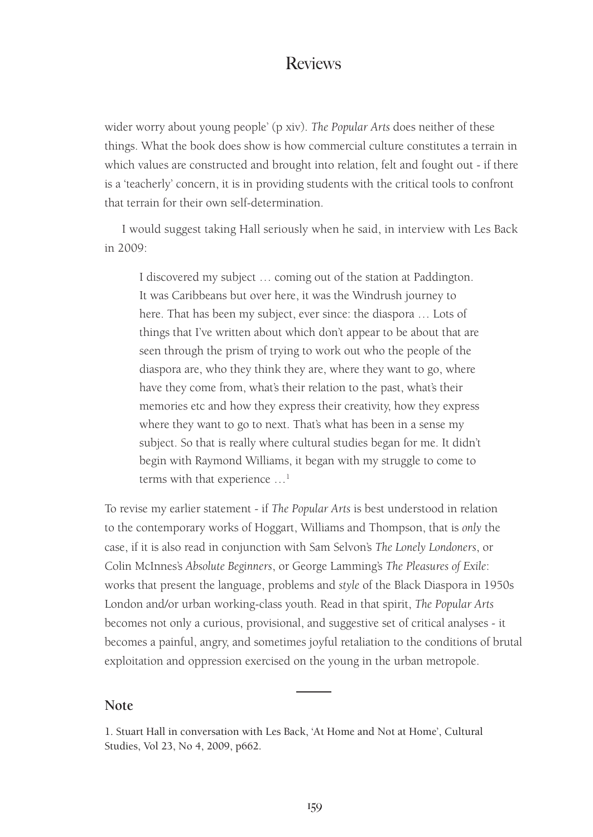wider worry about young people' (p xiv). *The Popular Arts* does neither of these things. What the book does show is how commercial culture constitutes a terrain in which values are constructed and brought into relation, felt and fought out - if there is a 'teacherly' concern, it is in providing students with the critical tools to confront that terrain for their own self-determination.

I would suggest taking Hall seriously when he said, in interview with Les Back in 2009:

I discovered my subject … coming out of the station at Paddington. It was Caribbeans but over here, it was the Windrush journey to here. That has been my subject, ever since: the diaspora … Lots of things that I've written about which don't appear to be about that are seen through the prism of trying to work out who the people of the diaspora are, who they think they are, where they want to go, where have they come from, what's their relation to the past, what's their memories etc and how they express their creativity, how they express where they want to go to next. That's what has been in a sense my subject. So that is really where cultural studies began for me. It didn't begin with Raymond Williams, it began with my struggle to come to terms with that experience …1

To revise my earlier statement - if *The Popular Arts* is best understood in relation to the contemporary works of Hoggart, Williams and Thompson, that is *only* the case, if it is also read in conjunction with Sam Selvon's *The Lonely Londoners*, or Colin McInnes's *Absolute Beginners*, or George Lamming's *The Pleasures of Exile*: works that present the language, problems and *style* of the Black Diaspora in 1950s London and/or urban working-class youth. Read in that spirit, *The Popular Arts* becomes not only a curious, provisional, and suggestive set of critical analyses - it becomes a painful, angry, and sometimes joyful retaliation to the conditions of brutal exploitation and oppression exercised on the young in the urban metropole.

#### **Note**

1. Stuart Hall in conversation with Les Back, 'At Home and Not at Home', Cultural Studies, Vol 23, No 4, 2009, p662.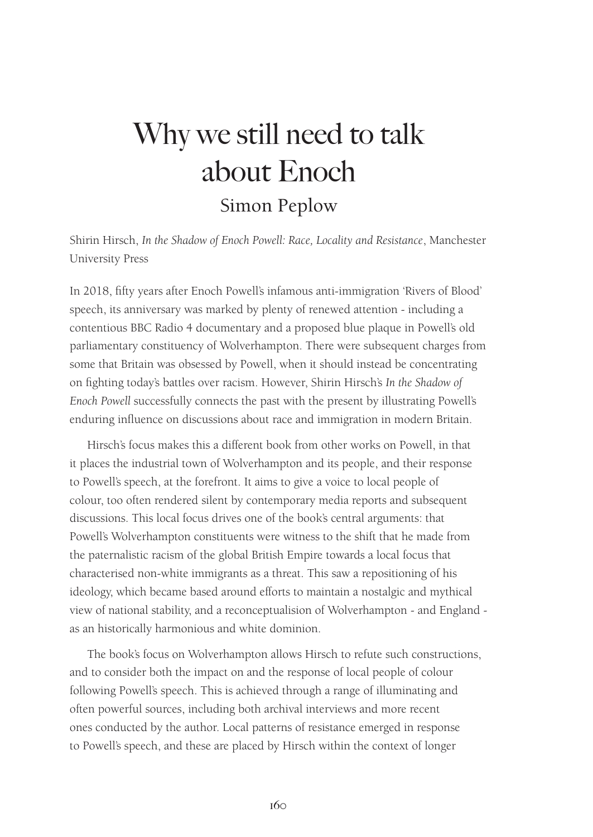# Why we still need to talk about Enoch Simon Peplow

Shirin Hirsch, *In the Shadow of Enoch Powell: Race, Locality and Resistance*, Manchester University Press

In 2018, fifty years after Enoch Powell's infamous anti-immigration 'Rivers of Blood' speech, its anniversary was marked by plenty of renewed attention - including a contentious BBC Radio 4 documentary and a proposed blue plaque in Powell's old parliamentary constituency of Wolverhampton. There were subsequent charges from some that Britain was obsessed by Powell, when it should instead be concentrating on fighting today's battles over racism. However, Shirin Hirsch's *In the Shadow of Enoch Powell* successfully connects the past with the present by illustrating Powell's enduring influence on discussions about race and immigration in modern Britain.

Hirsch's focus makes this a different book from other works on Powell, in that it places the industrial town of Wolverhampton and its people, and their response to Powell's speech, at the forefront. It aims to give a voice to local people of colour, too often rendered silent by contemporary media reports and subsequent discussions. This local focus drives one of the book's central arguments: that Powell's Wolverhampton constituents were witness to the shift that he made from the paternalistic racism of the global British Empire towards a local focus that characterised non-white immigrants as a threat. This saw a repositioning of his ideology, which became based around efforts to maintain a nostalgic and mythical view of national stability, and a reconceptualision of Wolverhampton - and England as an historically harmonious and white dominion.

The book's focus on Wolverhampton allows Hirsch to refute such constructions, and to consider both the impact on and the response of local people of colour following Powell's speech. This is achieved through a range of illuminating and often powerful sources, including both archival interviews and more recent ones conducted by the author. Local patterns of resistance emerged in response to Powell's speech, and these are placed by Hirsch within the context of longer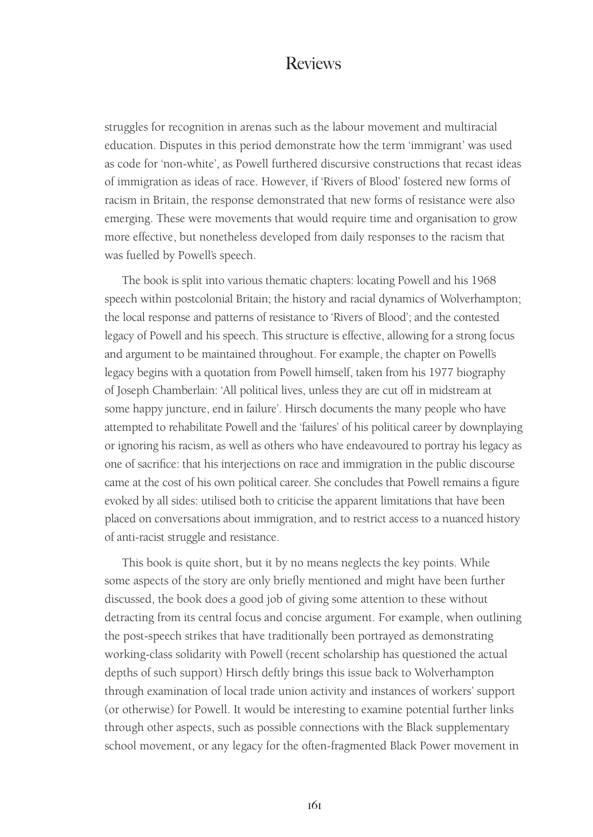struggles for recognition in arenas such as the labour movement and multiracial education. Disputes in this period demonstrate how the term 'immigrant' was used as code for 'non-white', as Powell furthered discursive constructions that recast ideas of immigration as ideas of race. However, if 'Rivers of Blood' fostered new forms of racism in Britain, the response demonstrated that new forms of resistance were also emerging. These were movements that would require time and organisation to grow more effective, but nonetheless developed from daily responses to the racism that was fuelled by Powell's speech.

The book is split into various thematic chapters: locating Powell and his 1968 speech within postcolonial Britain; the history and racial dynamics of Wolverhampton; the local response and patterns of resistance to 'Rivers of Blood'; and the contested legacy of Powell and his speech. This structure is effective, allowing for a strong focus and argument to be maintained throughout. For example, the chapter on Powell's legacy begins with a quotation from Powell himself, taken from his 1977 biography of Joseph Chamberlain: 'All political lives, unless they are cut off in midstream at some happy juncture, end in failure'. Hirsch documents the many people who have attempted to rehabilitate Powell and the 'failures' of his political career by downplaying or ignoring his racism, as well as others who have endeavoured to portray his legacy as one of sacrifice: that his interjections on race and immigration in the public discourse came at the cost of his own political career. She concludes that Powell remains a figure evoked by all sides: utilised both to criticise the apparent limitations that have been placed on conversations about immigration, and to restrict access to a nuanced history of anti-racist struggle and resistance.

This book is quite short, but it by no means neglects the key points. While some aspects of the story are only briefly mentioned and might have been further discussed, the book does a good job of giving some attention to these without detracting from its central focus and concise argument. For example, when outlining the post-speech strikes that have traditionally been portrayed as demonstrating working-class solidarity with Powell (recent scholarship has questioned the actual depths of such support) Hirsch deftly brings this issue back to Wolverhampton through examination of local trade union activity and instances of workers' support (or otherwise) for Powell. It would be interesting to examine potential further links through other aspects, such as possible connections with the Black supplementary school movement, or any legacy for the often-fragmented Black Power movement in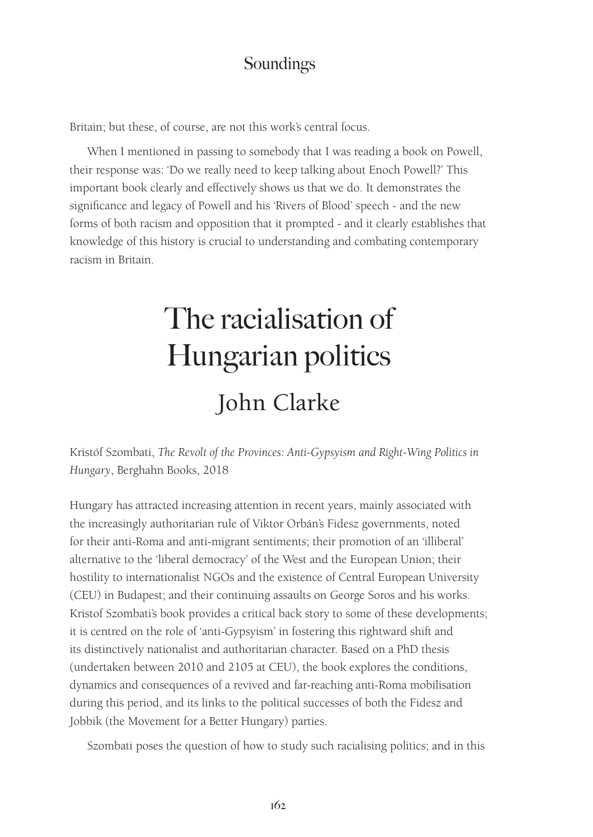Britain; but these, of course, are not this work's central focus.

When I mentioned in passing to somebody that I was reading a book on Powell, their response was: 'Do we really need to keep talking about Enoch Powell?' This important book clearly and effectively shows us that we do. It demonstrates the significance and legacy of Powell and his 'Rivers of Blood' speech - and the new forms of both racism and opposition that it prompted - and it clearly establishes that knowledge of this history is crucial to understanding and combating contemporary racism in Britain.

# The racialisation of Hungarian politics John Clarke

Kristóf Szombati, *The Revolt of the Provinces: Anti-Gypsyism and Right-Wing Politics in Hungary*, Berghahn Books, 2018

Hungary has attracted increasing attention in recent years, mainly associated with the increasingly authoritarian rule of Viktor Orbán's Fidesz governments, noted for their anti-Roma and anti-migrant sentiments; their promotion of an 'illiberal' alternative to the 'liberal democracy' of the West and the European Union; their hostility to internationalist NGOs and the existence of Central European University (CEU) in Budapest; and their continuing assaults on George Soros and his works. Kristof Szombati's book provides a critical back story to some of these developments; it is centred on the role of 'anti-Gypsyism' in fostering this rightward shift and its distinctively nationalist and authoritarian character. Based on a PhD thesis (undertaken between 2010 and 2105 at CEU), the book explores the conditions, dynamics and consequences of a revived and far-reaching anti-Roma mobilisation during this period, and its links to the political successes of both the Fidesz and Jobbik (the Movement for a Better Hungary) parties.

Szombati poses the question of how to study such racialising politics; and in this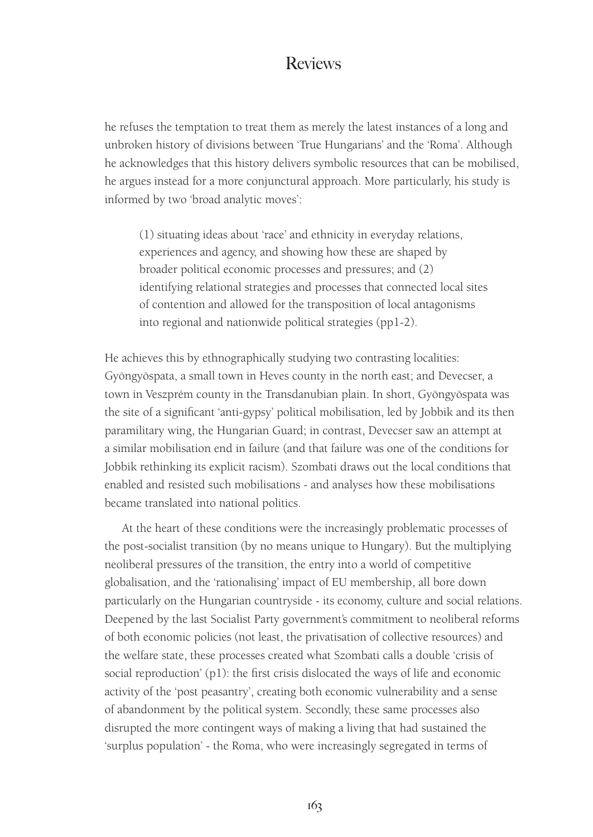he refuses the temptation to treat them as merely the latest instances of a long and unbroken history of divisions between 'True Hungarians' and the 'Roma'. Although he acknowledges that this history delivers symbolic resources that can be mobilised, he argues instead for a more conjunctural approach. More particularly, his study is informed by two 'broad analytic moves':

(1) situating ideas about 'race' and ethnicity in everyday relations, experiences and agency, and showing how these are shaped by broader political economic processes and pressures; and (2) identifying relational strategies and processes that connected local sites of contention and allowed for the transposition of local antagonisms into regional and nationwide political strategies (pp1-2).

He achieves this by ethnographically studying two contrasting localities: Gyöngyöspata, a small town in Heves county in the north east; and Devecser, a town in Veszprém county in the Transdanubian plain. In short, Gyöngyöspata was the site of a significant 'anti-gypsy' political mobilisation, led by Jobbik and its then paramilitary wing, the Hungarian Guard; in contrast, Devecser saw an attempt at a similar mobilisation end in failure (and that failure was one of the conditions for Jobbik rethinking its explicit racism). Szombati draws out the local conditions that enabled and resisted such mobilisations - and analyses how these mobilisations became translated into national politics.

At the heart of these conditions were the increasingly problematic processes of the post-socialist transition (by no means unique to Hungary). But the multiplying neoliberal pressures of the transition, the entry into a world of competitive globalisation, and the 'rationalising' impact of EU membership, all bore down particularly on the Hungarian countryside - its economy, culture and social relations. Deepened by the last Socialist Party government's commitment to neoliberal reforms of both economic policies (not least, the privatisation of collective resources) and the welfare state, these processes created what Szombati calls a double 'crisis of social reproduction' (p1): the first crisis dislocated the ways of life and economic activity of the 'post peasantry', creating both economic vulnerability and a sense of abandonment by the political system. Secondly, these same processes also disrupted the more contingent ways of making a living that had sustained the 'surplus population' - the Roma, who were increasingly segregated in terms of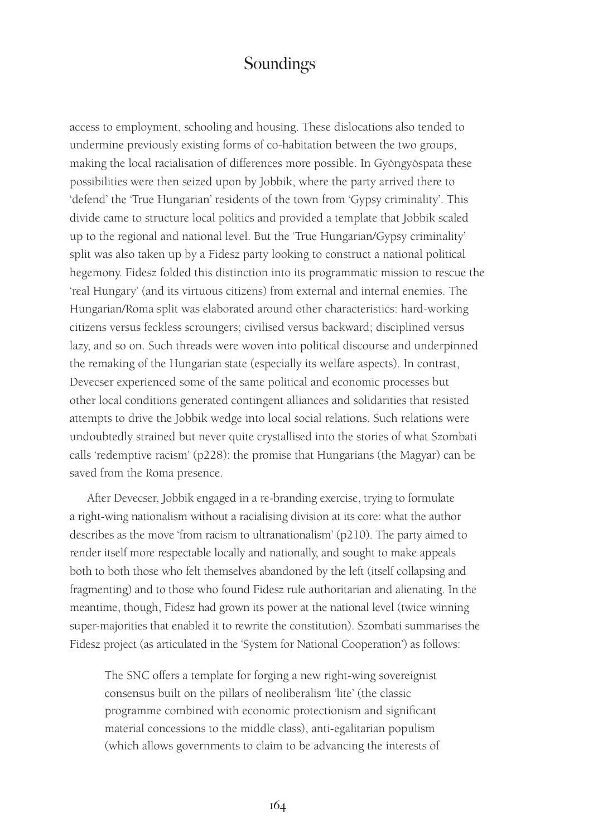access to employment, schooling and housing. These dislocations also tended to undermine previously existing forms of co-habitation between the two groups, making the local racialisation of differences more possible. In Gyöngyöspata these possibilities were then seized upon by Jobbik, where the party arrived there to 'defend' the 'True Hungarian' residents of the town from 'Gypsy criminality'. This divide came to structure local politics and provided a template that Jobbik scaled up to the regional and national level. But the 'True Hungarian/Gypsy criminality' split was also taken up by a Fidesz party looking to construct a national political hegemony. Fidesz folded this distinction into its programmatic mission to rescue the 'real Hungary' (and its virtuous citizens) from external and internal enemies. The Hungarian/Roma split was elaborated around other characteristics: hard-working citizens versus feckless scroungers; civilised versus backward; disciplined versus lazy, and so on. Such threads were woven into political discourse and underpinned the remaking of the Hungarian state (especially its welfare aspects). In contrast, Devecser experienced some of the same political and economic processes but other local conditions generated contingent alliances and solidarities that resisted attempts to drive the Jobbik wedge into local social relations. Such relations were undoubtedly strained but never quite crystallised into the stories of what Szombati calls 'redemptive racism' (p228): the promise that Hungarians (the Magyar) can be saved from the Roma presence.

After Devecser, Jobbik engaged in a re-branding exercise, trying to formulate a right-wing nationalism without a racialising division at its core: what the author describes as the move 'from racism to ultranationalism' (p210). The party aimed to render itself more respectable locally and nationally, and sought to make appeals both to both those who felt themselves abandoned by the left (itself collapsing and fragmenting) and to those who found Fidesz rule authoritarian and alienating. In the meantime, though, Fidesz had grown its power at the national level (twice winning super-majorities that enabled it to rewrite the constitution). Szombati summarises the Fidesz project (as articulated in the 'System for National Cooperation') as follows:

The SNC offers a template for forging a new right-wing sovereignist consensus built on the pillars of neoliberalism 'lite' (the classic programme combined with economic protectionism and significant material concessions to the middle class), anti-egalitarian populism (which allows governments to claim to be advancing the interests of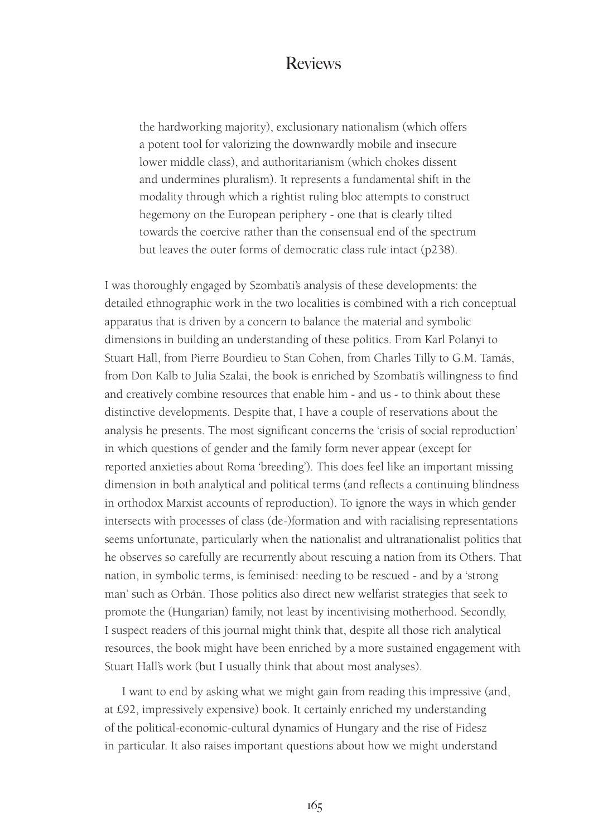the hardworking majority), exclusionary nationalism (which offers a potent tool for valorizing the downwardly mobile and insecure lower middle class), and authoritarianism (which chokes dissent and undermines pluralism). It represents a fundamental shift in the modality through which a rightist ruling bloc attempts to construct hegemony on the European periphery - one that is clearly tilted towards the coercive rather than the consensual end of the spectrum but leaves the outer forms of democratic class rule intact (p238).

I was thoroughly engaged by Szombati's analysis of these developments: the detailed ethnographic work in the two localities is combined with a rich conceptual apparatus that is driven by a concern to balance the material and symbolic dimensions in building an understanding of these politics. From Karl Polanyi to Stuart Hall, from Pierre Bourdieu to Stan Cohen, from Charles Tilly to G.M. Tamás, from Don Kalb to Julia Szalai, the book is enriched by Szombati's willingness to find and creatively combine resources that enable him - and us - to think about these distinctive developments. Despite that, I have a couple of reservations about the analysis he presents. The most significant concerns the 'crisis of social reproduction' in which questions of gender and the family form never appear (except for reported anxieties about Roma 'breeding'). This does feel like an important missing dimension in both analytical and political terms (and reflects a continuing blindness in orthodox Marxist accounts of reproduction). To ignore the ways in which gender intersects with processes of class (de-)formation and with racialising representations seems unfortunate, particularly when the nationalist and ultranationalist politics that he observes so carefully are recurrently about rescuing a nation from its Others. That nation, in symbolic terms, is feminised: needing to be rescued - and by a 'strong man' such as Orbán. Those politics also direct new welfarist strategies that seek to promote the (Hungarian) family, not least by incentivising motherhood. Secondly, I suspect readers of this journal might think that, despite all those rich analytical resources, the book might have been enriched by a more sustained engagement with Stuart Hall's work (but I usually think that about most analyses).

I want to end by asking what we might gain from reading this impressive (and, at £92, impressively expensive) book. It certainly enriched my understanding of the political-economic-cultural dynamics of Hungary and the rise of Fidesz in particular. It also raises important questions about how we might understand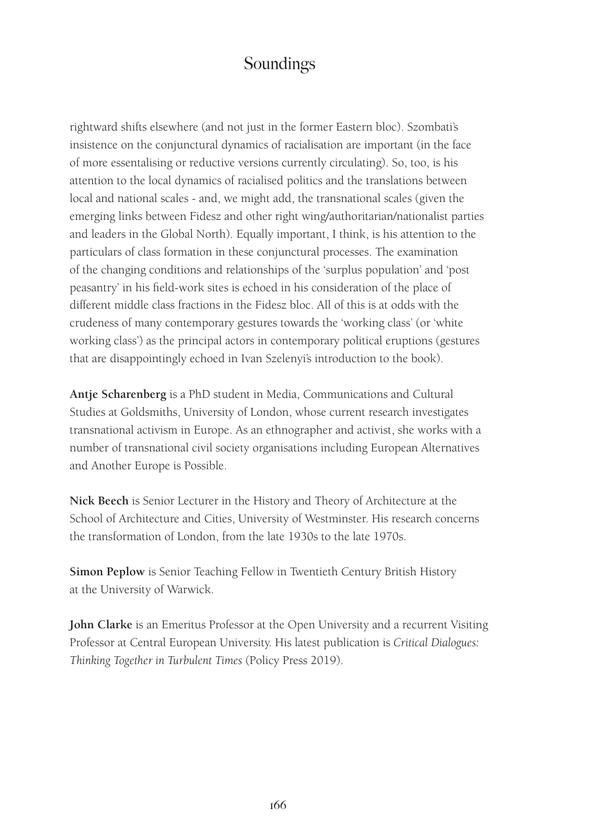rightward shifts elsewhere (and not just in the former Eastern bloc). Szombati's insistence on the conjunctural dynamics of racialisation are important (in the face of more essentalising or reductive versions currently circulating). So, too, is his attention to the local dynamics of racialised politics and the translations between local and national scales - and, we might add, the transnational scales (given the emerging links between Fidesz and other right wing/authoritarian/nationalist parties and leaders in the Global North). Equally important, I think, is his attention to the particulars of class formation in these conjunctural processes. The examination of the changing conditions and relationships of the 'surplus population' and 'post peasantry' in his field-work sites is echoed in his consideration of the place of different middle class fractions in the Fidesz bloc. All of this is at odds with the crudeness of many contemporary gestures towards the 'working class' (or 'white working class') as the principal actors in contemporary political eruptions (gestures that are disappointingly echoed in Ivan Szelenyi's introduction to the book).

**Antje Scharenberg** is a PhD student in Media, Communications and Cultural Studies at Goldsmiths, University of London, whose current research investigates transnational activism in Europe. As an ethnographer and activist, she works with a number of transnational civil society organisations including European Alternatives and Another Europe is Possible.

**Nick Beech** is Senior Lecturer in the History and Theory of Architecture at the School of Architecture and Cities, University of Westminster. His research concerns the transformation of London, from the late 1930s to the late 1970s.

**Simon Peplow** is Senior Teaching Fellow in Twentieth Century British History at the University of Warwick.

**John Clarke** is an Emeritus Professor at the Open University and a recurrent Visiting Professor at Central European University. His latest publication is *Critical Dialogues: Thinking Together in Turbulent Times* (Policy Press 2019).